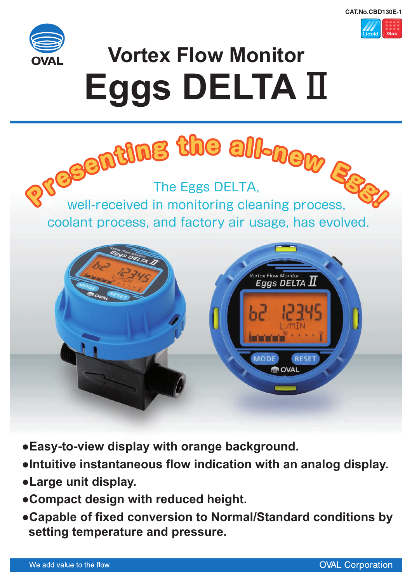



# **Vortex Flow Monitor Eggs DELTA** Ⅱ



- **●Easy-to-view display with orange background.**
- **●Intuitive instantaneous flow indication with an analog display.**
- **●Large unit display.**
- **●Compact design with reduced height.**
- **●Capable of fixed conversion to Normal/Standard conditions by setting temperature and pressure.**